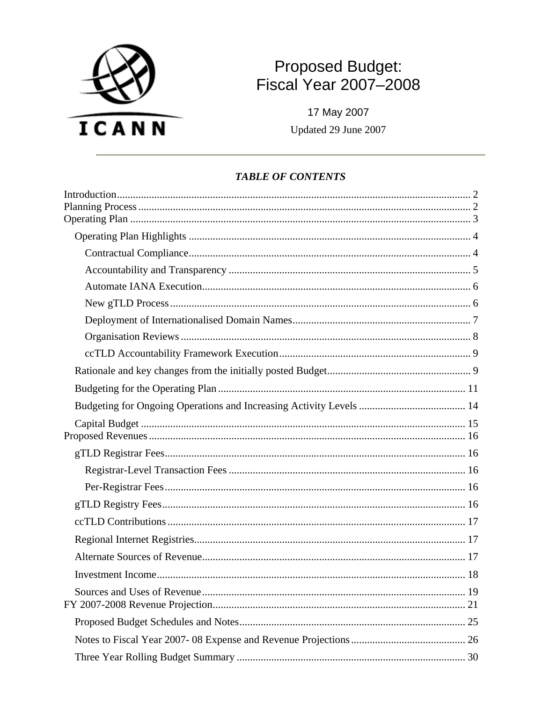

# Proposed Budget:<br>Fiscal Year 2007-2008

17 May 2007 Updated 29 June 2007

#### **TABLE OF CONTENTS**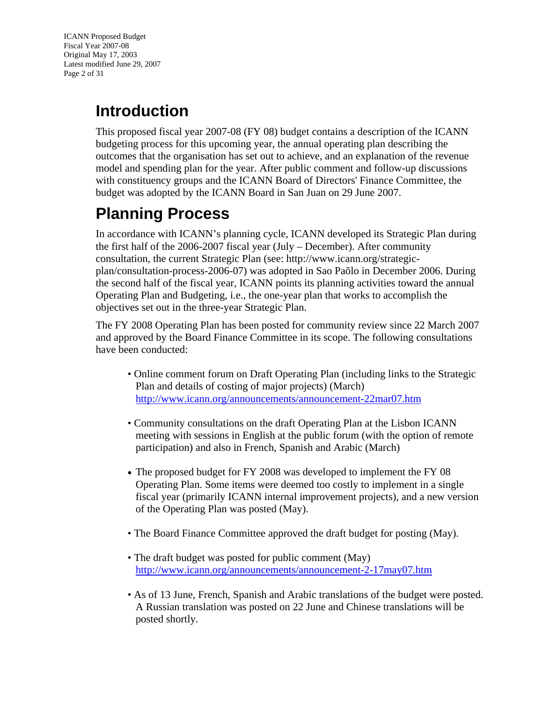<span id="page-1-0"></span>ICANN Proposed Budget Fiscal Year 2007-08 Original May 17, 2003 Latest modified June 29, 2007 Page 2 of 31

# **Introduction**

This proposed fiscal year 2007-08 (FY 08) budget contains a description of the ICANN budgeting process for this upcoming year, the annual operating plan describing the outcomes that the organisation has set out to achieve, and an explanation of the revenue model and spending plan for the year. After public comment and follow-up discussions with constituency groups and the ICANN Board of Directors' Finance Committee, the budget was adopted by the ICANN Board in San Juan on 29 June 2007.

# **Planning Process**

In accordance with ICANN's planning cycle, ICANN developed its Strategic Plan during the first half of the 2006-2007 fiscal year (July – December). After community consultation, the current Strategic Plan (see: [http://www.icann.org/strategic](http://www.icann.org/strategic-plan/consultation-process-2006-07/)[plan/consultation-process-2006-07\)](http://www.icann.org/strategic-plan/consultation-process-2006-07/) was adopted in Sao Paõlo in December 2006. During the second half of the fiscal year, ICANN points its planning activities toward the annual Operating Plan and Budgeting, i.e., the one-year plan that works to accomplish the objectives set out in the three-year Strategic Plan.

The FY 2008 Operating Plan has been posted for community review since 22 March 2007 and approved by the Board Finance Committee in its scope. The following consultations have been conducted:

- Online comment forum on Draft Operating Plan (including links to the Strategic Plan and details of costing of major projects) (March) <http://www.icann.org/announcements/announcement-22mar07.htm>
- Community consultations on the draft Operating Plan at the Lisbon ICANN meeting with sessions in English at the public forum (with the option of remote participation) and also in French, Spanish and Arabic (March)
- The proposed budget for FY 2008 was developed to implement the FY 08 Operating Plan. Some items were deemed too costly to implement in a single fiscal year (primarily ICANN internal improvement projects), and a new version of the Operating Plan was posted (May).
- The Board Finance Committee approved the draft budget for posting (May).
- The draft budget was posted for public comment (May) <http://www.icann.org/announcements/announcement-2-17may07.htm>
- As of 13 June, French, Spanish and Arabic translations of the budget were posted. A Russian translation was posted on 22 June and Chinese translations will be posted shortly.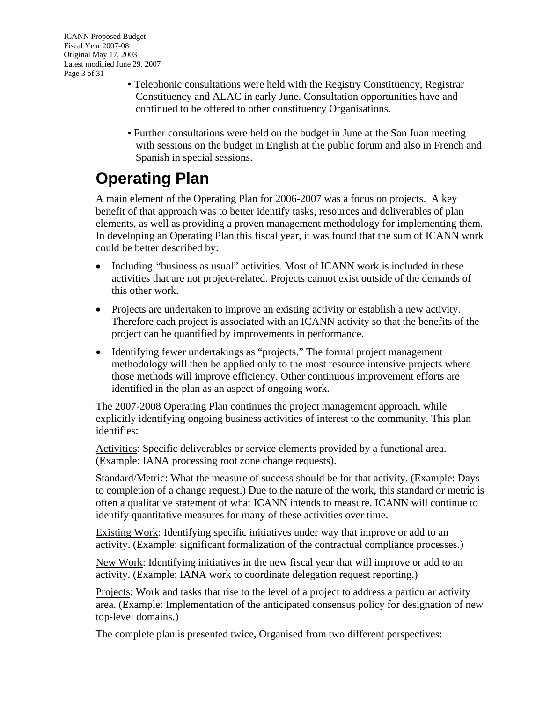- <span id="page-2-0"></span>• Telephonic consultations were held with the Registry Constituency, Registrar Constituency and ALAC in early June. Consultation opportunities have and continued to be offered to other constituency Organisations.
- Further consultations were held on the budget in June at the San Juan meeting with sessions on the budget in English at the public forum and also in French and Spanish in special sessions.

# **Operating Plan**

A main element of the Operating Plan for 2006-2007 was a focus on projects. A key benefit of that approach was to better identify tasks, resources and deliverables of plan elements, as well as providing a proven management methodology for implementing them. In developing an Operating Plan this fiscal year, it was found that the sum of ICANN work could be better described by:

- Including "business as usual" activities. Most of ICANN work is included in these activities that are not project-related. Projects cannot exist outside of the demands of this other work.
- Projects are undertaken to improve an existing activity or establish a new activity. Therefore each project is associated with an ICANN activity so that the benefits of the project can be quantified by improvements in performance.
- Identifying fewer undertakings as "projects." The formal project management methodology will then be applied only to the most resource intensive projects where those methods will improve efficiency. Other continuous improvement efforts are identified in the plan as an aspect of ongoing work.

The 2007-2008 Operating Plan continues the project management approach, while explicitly identifying ongoing business activities of interest to the community. This plan identifies:

Activities: Specific deliverables or service elements provided by a functional area. (Example: IANA processing root zone change requests).

Standard/Metric: What the measure of success should be for that activity. (Example: Days to completion of a change request.) Due to the nature of the work, this standard or metric is often a qualitative statement of what ICANN intends to measure. ICANN will continue to identify quantitative measures for many of these activities over time.

Existing Work: Identifying specific initiatives under way that improve or add to an activity. (Example: significant formalization of the contractual compliance processes.)

New Work: Identifying initiatives in the new fiscal year that will improve or add to an activity. (Example: IANA work to coordinate delegation request reporting.)

Projects: Work and tasks that rise to the level of a project to address a particular activity area. (Example: Implementation of the anticipated consensus policy for designation of new top-level domains.)

The complete plan is presented twice, Organised from two different perspectives: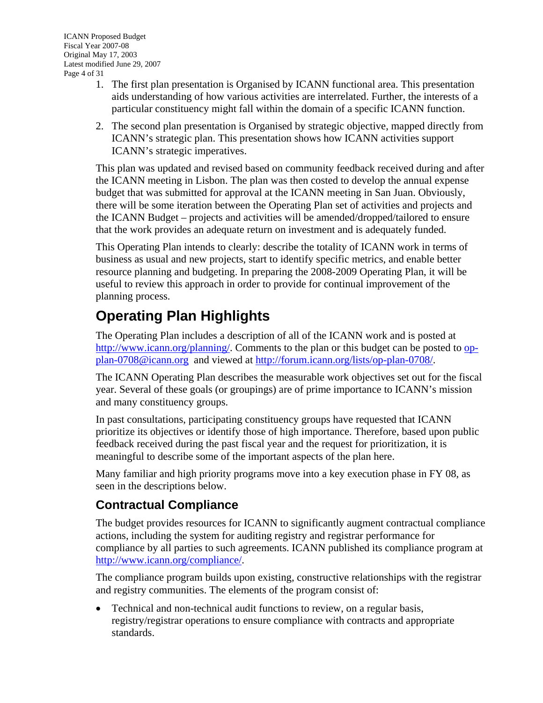- <span id="page-3-0"></span>1. The first plan presentation is Organised by ICANN functional area. This presentation aids understanding of how various activities are interrelated. Further, the interests of a particular constituency might fall within the domain of a specific ICANN function.
- 2. The second plan presentation is Organised by strategic objective, mapped directly from ICANN's strategic plan. This presentation shows how ICANN activities support ICANN's strategic imperatives.

This plan was updated and revised based on community feedback received during and after the ICANN meeting in Lisbon. The plan was then costed to develop the annual expense budget that was submitted for approval at the ICANN meeting in San Juan. Obviously, there will be some iteration between the Operating Plan set of activities and projects and the ICANN Budget – projects and activities will be amended/dropped/tailored to ensure that the work provides an adequate return on investment and is adequately funded.

This Operating Plan intends to clearly: describe the totality of ICANN work in terms of business as usual and new projects, start to identify specific metrics, and enable better resource planning and budgeting. In preparing the 2008-2009 Operating Plan, it will be useful to review this approach in order to provide for continual improvement of the planning process.

# **Operating Plan Highlights**

The Operating Plan includes a description of all of the ICANN work and is posted at <http://www.icann.org/planning/>. Comments to the plan or this budget can be posted to [op](mailto:op-plan-0708@icann.org)[plan-0708@icann.org](mailto:op-plan-0708@icann.org) and viewed at<http://forum.icann.org/lists/op-plan-0708/>.

The ICANN Operating Plan describes the measurable work objectives set out for the fiscal year. Several of these goals (or groupings) are of prime importance to ICANN's mission and many constituency groups.

In past consultations, participating constituency groups have requested that ICANN prioritize its objectives or identify those of high importance. Therefore, based upon public feedback received during the past fiscal year and the request for prioritization, it is meaningful to describe some of the important aspects of the plan here.

Many familiar and high priority programs move into a key execution phase in FY 08, as seen in the descriptions below.

### **Contractual Compliance**

The budget provides resources for ICANN to significantly augment contractual compliance actions, including the system for auditing registry and registrar performance for compliance by all parties to such agreements. ICANN published its compliance program at [http://www.icann.org/compliance/.](http://www.icann.org/compliance/)

The compliance program builds upon existing, constructive relationships with the registrar and registry communities. The elements of the program consist of:

• Technical and non-technical audit functions to review, on a regular basis, registry/registrar operations to ensure compliance with contracts and appropriate standards.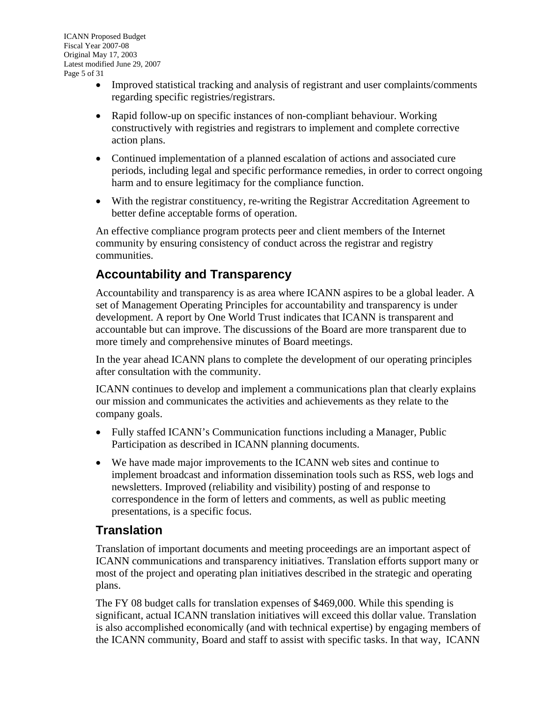- <span id="page-4-0"></span>• Improved statistical tracking and analysis of registrant and user complaints/comments regarding specific registries/registrars.
- Rapid follow-up on specific instances of non-compliant behaviour. Working constructively with registries and registrars to implement and complete corrective action plans.
- Continued implementation of a planned escalation of actions and associated cure periods, including legal and specific performance remedies, in order to correct ongoing harm and to ensure legitimacy for the compliance function.
- With the registrar constituency, re-writing the Registrar Accreditation Agreement to better define acceptable forms of operation.

An effective compliance program protects peer and client members of the Internet community by ensuring consistency of conduct across the registrar and registry communities.

### **Accountability and Transparency**

Accountability and transparency is as area where ICANN aspires to be a global leader. A set of Management Operating Principles for accountability and transparency is under development. A report by One World Trust indicates that ICANN is transparent and accountable but can improve. The discussions of the Board are more transparent due to more timely and comprehensive minutes of Board meetings.

In the year ahead ICANN plans to complete the development of our operating principles after consultation with the community.

ICANN continues to develop and implement a communications plan that clearly explains our mission and communicates the activities and achievements as they relate to the company goals.

- Fully staffed ICANN's Communication functions including a Manager, Public Participation as described in ICANN planning documents.
- We have made major improvements to the ICANN web sites and continue to implement broadcast and information dissemination tools such as RSS, web logs and newsletters. Improved (reliability and visibility) posting of and response to correspondence in the form of letters and comments, as well as public meeting presentations, is a specific focus.

### **Translation**

Translation of important documents and meeting proceedings are an important aspect of ICANN communications and transparency initiatives. Translation efforts support many or most of the project and operating plan initiatives described in the strategic and operating plans.

The FY 08 budget calls for translation expenses of \$469,000. While this spending is significant, actual ICANN translation initiatives will exceed this dollar value. Translation is also accomplished economically (and with technical expertise) by engaging members of the ICANN community, Board and staff to assist with specific tasks. In that way, ICANN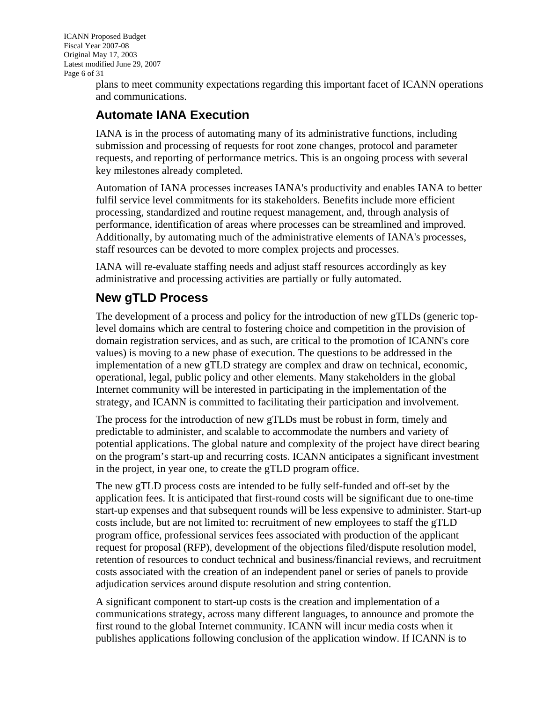<span id="page-5-0"></span>ICANN Proposed Budget Fiscal Year 2007-08 Original May 17, 2003 Latest modified June 29, 2007 Page 6 of 31

plans to meet community expectations regarding this important facet of ICANN operations and communications.

### **Automate IANA Execution**

IANA is in the process of automating many of its administrative functions, including submission and processing of requests for root zone changes, protocol and parameter requests, and reporting of performance metrics. This is an ongoing process with several key milestones already completed.

Automation of IANA processes increases IANA's productivity and enables IANA to better fulfil service level commitments for its stakeholders. Benefits include more efficient processing, standardized and routine request management, and, through analysis of performance, identification of areas where processes can be streamlined and improved. Additionally, by automating much of the administrative elements of IANA's processes, staff resources can be devoted to more complex projects and processes.

IANA will re-evaluate staffing needs and adjust staff resources accordingly as key administrative and processing activities are partially or fully automated.

### **New gTLD Process**

The development of a process and policy for the introduction of new gTLDs (generic toplevel domains which are central to fostering choice and competition in the provision of domain registration services, and as such, are critical to the promotion of ICANN's core values) is moving to a new phase of execution. The questions to be addressed in the implementation of a new gTLD strategy are complex and draw on technical, economic, operational, legal, public policy and other elements. Many stakeholders in the global Internet community will be interested in participating in the implementation of the strategy, and ICANN is committed to facilitating their participation and involvement.

The process for the introduction of new gTLDs must be robust in form, timely and predictable to administer, and scalable to accommodate the numbers and variety of potential applications. The global nature and complexity of the project have direct bearing on the program's start-up and recurring costs. ICANN anticipates a significant investment in the project, in year one, to create the gTLD program office.

The new gTLD process costs are intended to be fully self-funded and off-set by the application fees. It is anticipated that first-round costs will be significant due to one-time start-up expenses and that subsequent rounds will be less expensive to administer. Start-up costs include, but are not limited to: recruitment of new employees to staff the gTLD program office, professional services fees associated with production of the applicant request for proposal (RFP), development of the objections filed/dispute resolution model, retention of resources to conduct technical and business/financial reviews, and recruitment costs associated with the creation of an independent panel or series of panels to provide adjudication services around dispute resolution and string contention.

A significant component to start-up costs is the creation and implementation of a communications strategy, across many different languages, to announce and promote the first round to the global Internet community. ICANN will incur media costs when it publishes applications following conclusion of the application window. If ICANN is to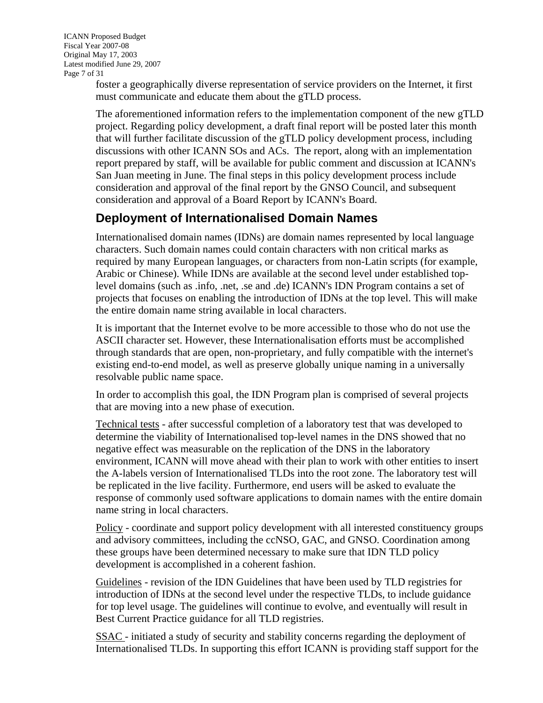<span id="page-6-0"></span>ICANN Proposed Budget Fiscal Year 2007-08 Original May 17, 2003 Latest modified June 29, 2007 Page 7 of 31

> foster a geographically diverse representation of service providers on the Internet, it first must communicate and educate them about the gTLD process.

The aforementioned information refers to the implementation component of the new gTLD project. Regarding policy development, a draft final report will be posted later this month that will further facilitate discussion of the gTLD policy development process, including discussions with other ICANN SOs and ACs. The report, along with an implementation report prepared by staff, will be available for public comment and discussion at ICANN's San Juan meeting in June. The final steps in this policy development process include consideration and approval of the final report by the GNSO Council, and subsequent consideration and approval of a Board Report by ICANN's Board.

### **Deployment of Internationalised Domain Names**

Internationalised domain names (IDNs) are domain names represented by local language characters. Such domain names could contain characters with non critical marks as required by many European languages, or characters from non-Latin scripts (for example, Arabic or Chinese). While IDNs are available at the second level under established toplevel domains (such as .info, .net, .se and .de) ICANN's IDN Program contains a set of projects that focuses on enabling the introduction of IDNs at the top level. This will make the entire domain name string available in local characters.

It is important that the Internet evolve to be more accessible to those who do not use the ASCII character set. However, these Internationalisation efforts must be accomplished through standards that are open, non-proprietary, and fully compatible with the internet's existing end-to-end model, as well as preserve globally unique naming in a universally resolvable public name space.

In order to accomplish this goal, the IDN Program plan is comprised of several projects that are moving into a new phase of execution.

Technical tests - after successful completion of a laboratory test that was developed to determine the viability of Internationalised top-level names in the DNS showed that no negative effect was measurable on the replication of the DNS in the laboratory environment, ICANN will move ahead with their plan to work with other entities to insert the A-labels version of Internationalised TLDs into the root zone. The laboratory test will be replicated in the live facility. Furthermore, end users will be asked to evaluate the response of commonly used software applications to domain names with the entire domain name string in local characters.

Policy - coordinate and support policy development with all interested constituency groups and advisory committees, including the ccNSO, GAC, and GNSO. Coordination among these groups have been determined necessary to make sure that IDN TLD policy development is accomplished in a coherent fashion.

Guidelines - revision of the IDN Guidelines that have been used by TLD registries for introduction of IDNs at the second level under the respective TLDs, to include guidance for top level usage. The guidelines will continue to evolve, and eventually will result in Best Current Practice guidance for all TLD registries.

SSAC - initiated a study of security and stability concerns regarding the deployment of Internationalised TLDs. In supporting this effort ICANN is providing staff support for the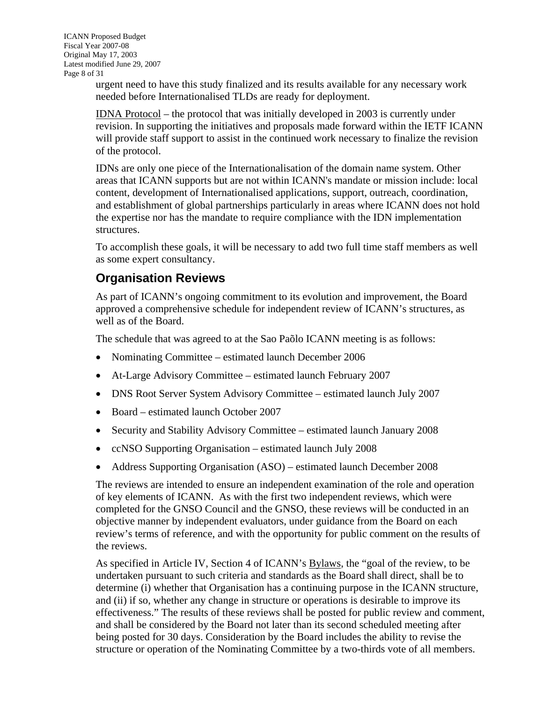<span id="page-7-0"></span>ICANN Proposed Budget Fiscal Year 2007-08 Original May 17, 2003 Latest modified June 29, 2007 Page 8 of 31

> urgent need to have this study finalized and its results available for any necessary work needed before Internationalised TLDs are ready for deployment.

IDNA Protocol – the protocol that was initially developed in 2003 is currently under revision. In supporting the initiatives and proposals made forward within the IETF ICANN will provide staff support to assist in the continued work necessary to finalize the revision of the protocol.

IDNs are only one piece of the Internationalisation of the domain name system. Other areas that ICANN supports but are not within ICANN's mandate or mission include: local content, development of Internationalised applications, support, outreach, coordination, and establishment of global partnerships particularly in areas where ICANN does not hold the expertise nor has the mandate to require compliance with the IDN implementation structures.

To accomplish these goals, it will be necessary to add two full time staff members as well as some expert consultancy.

### **Organisation Reviews**

As part of ICANN's ongoing commitment to its evolution and improvement, the Board approved a comprehensive schedule for independent review of ICANN's structures, as well as of the Board.

The schedule that was agreed to at the Sao Paõlo ICANN meeting is as follows:

- Nominating Committee estimated launch December 2006
- At-Large Advisory Committee estimated launch February 2007
- DNS Root Server System Advisory Committee estimated launch July 2007
- Board estimated launch October 2007
- Security and Stability Advisory Committee estimated launch January 2008
- ccNSO Supporting Organisation estimated launch July 2008
- Address Supporting Organisation (ASO) estimated launch December 2008

The reviews are intended to ensure an independent examination of the role and operation of key elements of ICANN. As with the first two independent reviews, which were completed for the GNSO Council and the GNSO, these reviews will be conducted in an objective manner by independent evaluators, under guidance from the Board on each review's terms of reference, and with the opportunity for public comment on the results of the reviews.

As specified in Article IV, Section 4 of ICANN's [Bylaws,](http://icann.org/general/bylaws.htm) the "goal of the review, to be undertaken pursuant to such criteria and standards as the Board shall direct, shall be to determine (i) whether that Organisation has a continuing purpose in the ICANN structure, and (ii) if so, whether any change in structure or operations is desirable to improve its effectiveness." The results of these reviews shall be posted for public review and comment, and shall be considered by the Board not later than its second scheduled meeting after being posted for 30 days. Consideration by the Board includes the ability to revise the structure or operation of the Nominating Committee by a two-thirds vote of all members.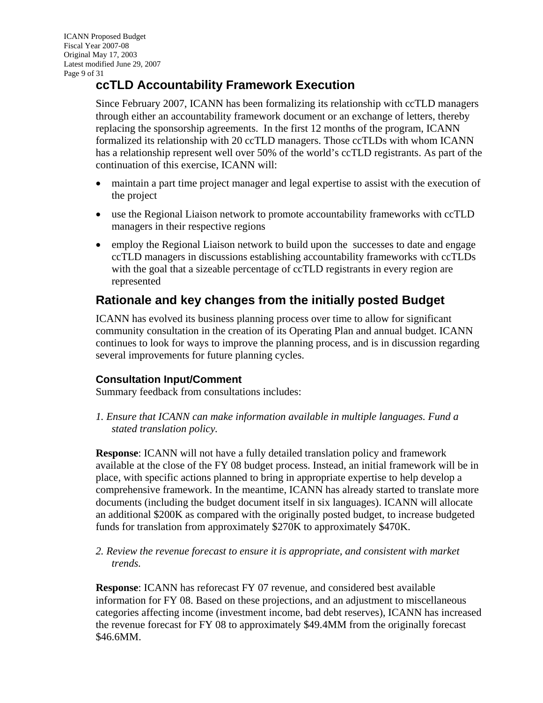### <span id="page-8-0"></span>**ccTLD Accountability Framework Execution**

Since February 2007, ICANN has been formalizing its relationship with ccTLD managers through either an accountability framework document or an exchange of letters, thereby replacing the sponsorship agreements. In the first 12 months of the program, ICANN formalized its relationship with 20 ccTLD managers. Those ccTLDs with whom ICANN has a relationship represent well over 50% of the world's ccTLD registrants. As part of the continuation of this exercise, ICANN will:

- maintain a part time project manager and legal expertise to assist with the execution of the project
- use the Regional Liaison network to promote accountability frameworks with ccTLD managers in their respective regions
- employ the Regional Liaison network to build upon the successes to date and engage ccTLD managers in discussions establishing accountability frameworks with ccTLDs with the goal that a sizeable percentage of ccTLD registrants in every region are represented

### **Rationale and key changes from the initially posted Budget**

ICANN has evolved its business planning process over time to allow for significant community consultation in the creation of its Operating Plan and annual budget. ICANN continues to look for ways to improve the planning process, and is in discussion regarding several improvements for future planning cycles.

#### **Consultation Input/Comment**

Summary feedback from consultations includes:

*1. Ensure that ICANN can make information available in multiple languages. Fund a stated translation policy.*

**Response**: ICANN will not have a fully detailed translation policy and framework available at the close of the FY 08 budget process. Instead, an initial framework will be in place, with specific actions planned to bring in appropriate expertise to help develop a comprehensive framework. In the meantime, ICANN has already started to translate more documents (including the budget document itself in six languages). ICANN will allocate an additional \$200K as compared with the originally posted budget, to increase budgeted funds for translation from approximately \$270K to approximately \$470K.

*2. Review the revenue forecast to ensure it is appropriate, and consistent with market trends.* 

**Response**: ICANN has reforecast FY 07 revenue, and considered best available information for FY 08. Based on these projections, and an adjustment to miscellaneous categories affecting income (investment income, bad debt reserves), ICANN has increased the revenue forecast for FY 08 to approximately \$49.4MM from the originally forecast \$46.6MM.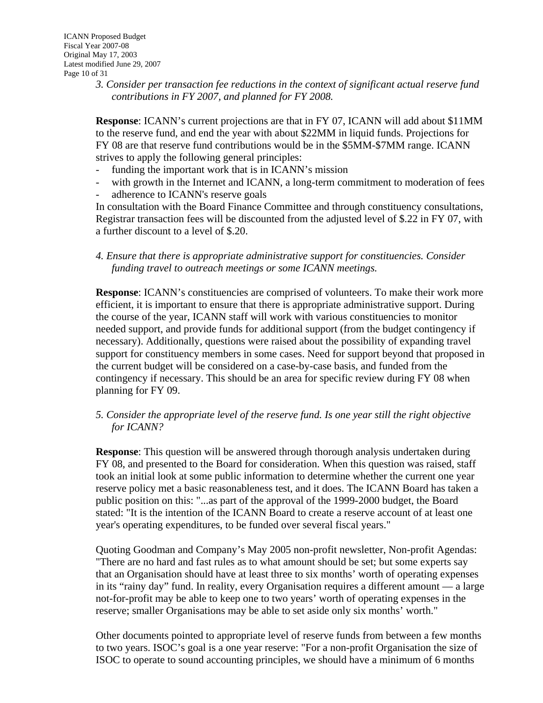*3. Consider per transaction fee reductions in the context of significant actual reserve fund contributions in FY 2007, and planned for FY 2008.* 

**Response**: ICANN's current projections are that in FY 07, ICANN will add about \$11MM to the reserve fund, and end the year with about \$22MM in liquid funds. Projections for FY 08 are that reserve fund contributions would be in the \$5MM-\$7MM range. ICANN strives to apply the following general principles:

- funding the important work that is in ICANN's mission
- with growth in the Internet and ICANN, a long-term commitment to moderation of fees
- adherence to ICANN's reserve goals

In consultation with the Board Finance Committee and through constituency consultations, Registrar transaction fees will be discounted from the adjusted level of \$.22 in FY 07, with a further discount to a level of \$.20.

*4. Ensure that there is appropriate administrative support for constituencies. Consider funding travel to outreach meetings or some ICANN meetings.* 

**Response**: ICANN's constituencies are comprised of volunteers. To make their work more efficient, it is important to ensure that there is appropriate administrative support. During the course of the year, ICANN staff will work with various constituencies to monitor needed support, and provide funds for additional support (from the budget contingency if necessary). Additionally, questions were raised about the possibility of expanding travel support for constituency members in some cases. Need for support beyond that proposed in the current budget will be considered on a case-by-case basis, and funded from the contingency if necessary. This should be an area for specific review during FY 08 when planning for FY 09.

#### *5. Consider the appropriate level of the reserve fund. Is one year still the right objective for ICANN?*

**Response**: This question will be answered through thorough analysis undertaken during FY 08, and presented to the Board for consideration. When this question was raised, staff took an initial look at some public information to determine whether the current one year reserve policy met a basic reasonableness test, and it does. The ICANN Board has taken a public position on this: "...as part of the approval of the 1999-2000 budget, the Board stated: "It is the intention of the ICANN Board to create a reserve account of at least one year's operating expenditures, to be funded over several fiscal years."

Quoting Goodman and Company's May 2005 non-profit newsletter, Non-profit Agendas: "There are no hard and fast rules as to what amount should be set; but some experts say that an Organisation should have at least three to six months' worth of operating expenses in its "rainy day" fund. In reality, every Organisation requires a different amount — a large not-for-profit may be able to keep one to two years' worth of operating expenses in the reserve; smaller Organisations may be able to set aside only six months' worth."

Other documents pointed to appropriate level of reserve funds from between a few months to two years. ISOC's goal is a one year reserve: "For a non-profit Organisation the size of ISOC to operate to sound accounting principles, we should have a minimum of 6 months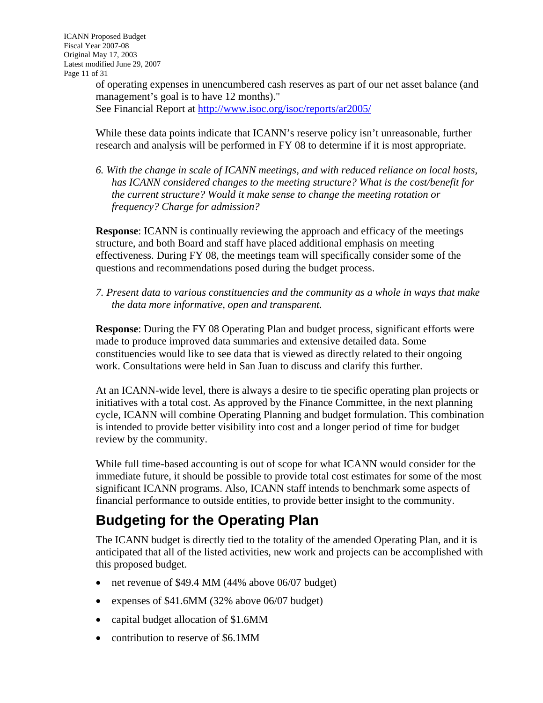<span id="page-10-0"></span>of operating expenses in unencumbered cash reserves as part of our net asset balance (and management's goal is to have 12 months)."

See Financial Report at<http://www.isoc.org/isoc/reports/ar2005/>

While these data points indicate that ICANN's reserve policy isn't unreasonable, further research and analysis will be performed in FY 08 to determine if it is most appropriate.

*6. With the change in scale of ICANN meetings, and with reduced reliance on local hosts, has ICANN considered changes to the meeting structure? What is the cost/benefit for the current structure? Would it make sense to change the meeting rotation or frequency? Charge for admission?* 

**Response**: ICANN is continually reviewing the approach and efficacy of the meetings structure, and both Board and staff have placed additional emphasis on meeting effectiveness. During FY 08, the meetings team will specifically consider some of the questions and recommendations posed during the budget process.

*7. Present data to various constituencies and the community as a whole in ways that make the data more informative, open and transparent.* 

**Response**: During the FY 08 Operating Plan and budget process, significant efforts were made to produce improved data summaries and extensive detailed data. Some constituencies would like to see data that is viewed as directly related to their ongoing work. Consultations were held in San Juan to discuss and clarify this further.

At an ICANN-wide level, there is always a desire to tie specific operating plan projects or initiatives with a total cost. As approved by the Finance Committee, in the next planning cycle, ICANN will combine Operating Planning and budget formulation. This combination is intended to provide better visibility into cost and a longer period of time for budget review by the community.

While full time-based accounting is out of scope for what ICANN would consider for the immediate future, it should be possible to provide total cost estimates for some of the most significant ICANN programs. Also, ICANN staff intends to benchmark some aspects of financial performance to outside entities, to provide better insight to the community.

# **Budgeting for the Operating Plan**

The ICANN budget is directly tied to the totality of the amended Operating Plan, and it is anticipated that all of the listed activities, new work and projects can be accomplished with this proposed budget.

- net revenue of \$49.4 MM (44% above 06/07 budget)
- expenses of \$41.6MM (32% above 06/07 budget)
- capital budget allocation of \$1.6MM
- contribution to reserve of \$6.1MM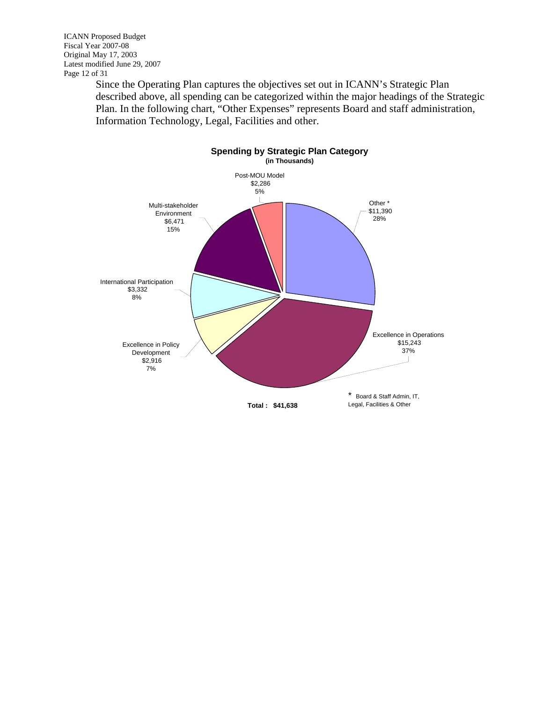ICANN Proposed Budget Fiscal Year 2007-08 Original May 17, 2003 Latest modified June 29, 2007 Page 12 of 31

Since the Operating Plan captures the objectives set out in ICANN's Strategic Plan described above, all spending can be categorized within the major headings of the Strategic Plan. In the following chart, "Other Expenses" represents Board and staff administration, Information Technology, Legal, Facilities and other.

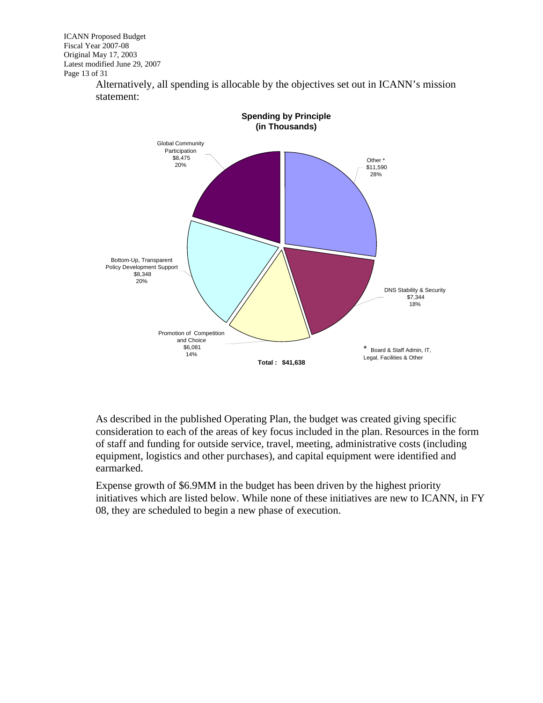ICANN Proposed Budget Fiscal Year 2007-08 Original May 17, 2003 Latest modified June 29, 2007 Page 13 of 31

> **Spending by Principle (in Thousands)** Bottom-Up, Transparent Policy Development Support \$8,348 20% Global Community Participation \$8,475 20% Other \* \$11,590 28% DNS Stability & Security \$7,344 18% Promotion of Competition and Choice \$6,081 14% **Total : \$41,638**  \* Board & Staff Admin, IT, Legal, Facilities & Other

Alternatively, all spending is allocable by the objectives set out in ICANN's mission statement:

As described in the published Operating Plan, the budget was created giving specific consideration to each of the areas of key focus included in the plan. Resources in the form of staff and funding for outside service, travel, meeting, administrative costs (including equipment, logistics and other purchases), and capital equipment were identified and earmarked.

Expense growth of \$6.9MM in the budget has been driven by the highest priority initiatives which are listed below. While none of these initiatives are new to ICANN, in FY 08, they are scheduled to begin a new phase of execution.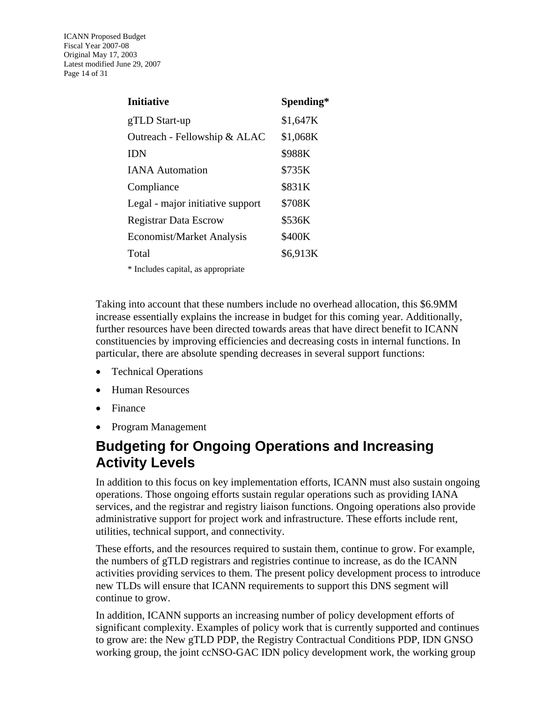<span id="page-13-0"></span>ICANN Proposed Budget Fiscal Year 2007-08 Original May 17, 2003 Latest modified June 29, 2007 Page 14 of 31

| <b>Initiative</b>                  | Spending* |
|------------------------------------|-----------|
| gTLD Start-up                      | \$1,647K  |
| Outreach - Fellowship & ALAC       | \$1,068K  |
| <b>IDN</b>                         | \$988K    |
| <b>IANA</b> Automation             | \$735K    |
| Compliance                         | \$831K    |
| Legal - major initiative support   | \$708K    |
| <b>Registrar Data Escrow</b>       | \$536K    |
| Economist/Market Analysis          | \$400K    |
| Total                              | \$6,913K  |
| * Includes capital, as appropriate |           |

Taking into account that these numbers include no overhead allocation, this \$6.9MM increase essentially explains the increase in budget for this coming year. Additionally, further resources have been directed towards areas that have direct benefit to ICANN constituencies by improving efficiencies and decreasing costs in internal functions. In particular, there are absolute spending decreases in several support functions:

- Technical Operations
- Human Resources
- Finance
- Program Management

### **Budgeting for Ongoing Operations and Increasing Activity Levels**

In addition to this focus on key implementation efforts, ICANN must also sustain ongoing operations. Those ongoing efforts sustain regular operations such as providing IANA services, and the registrar and registry liaison functions. Ongoing operations also provide administrative support for project work and infrastructure. These efforts include rent, utilities, technical support, and connectivity.

These efforts, and the resources required to sustain them, continue to grow. For example, the numbers of gTLD registrars and registries continue to increase, as do the ICANN activities providing services to them. The present policy development process to introduce new TLDs will ensure that ICANN requirements to support this DNS segment will continue to grow.

In addition, ICANN supports an increasing number of policy development efforts of significant complexity. Examples of policy work that is currently supported and continues to grow are: the New gTLD PDP, the Registry Contractual Conditions PDP, IDN GNSO working group, the joint ccNSO-GAC IDN policy development work, the working group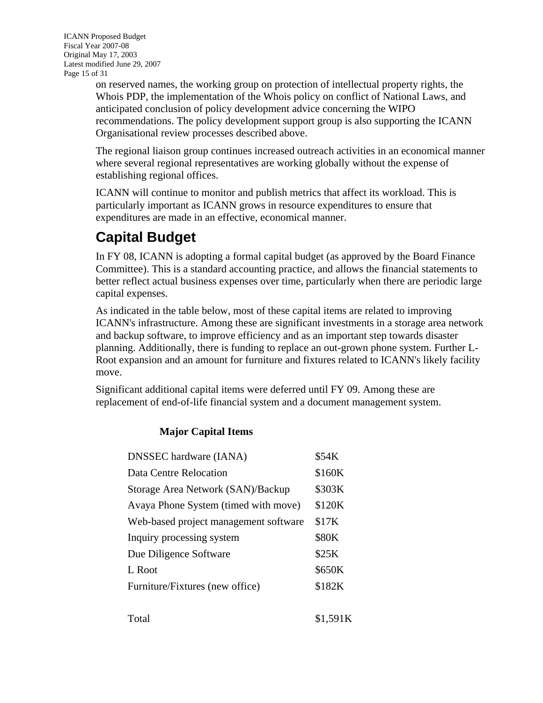<span id="page-14-0"></span>ICANN Proposed Budget Fiscal Year 2007-08 Original May 17, 2003 Latest modified June 29, 2007 Page 15 of 31

on reserved names, the working group on protection of intellectual property rights, the Whois PDP, the implementation of the Whois policy on conflict of National Laws, and anticipated conclusion of policy development advice concerning the WIPO recommendations. The policy development support group is also supporting the ICANN Organisational review processes described above.

The regional liaison group continues increased outreach activities in an economical manner where several regional representatives are working globally without the expense of establishing regional offices.

ICANN will continue to monitor and publish metrics that affect its workload. This is particularly important as ICANN grows in resource expenditures to ensure that expenditures are made in an effective, economical manner.

# **Capital Budget**

In FY 08, ICANN is adopting a formal capital budget (as approved by the Board Finance Committee). This is a standard accounting practice, and allows the financial statements to better reflect actual business expenses over time, particularly when there are periodic large capital expenses.

As indicated in the table below, most of these capital items are related to improving ICANN's infrastructure. Among these are significant investments in a storage area network and backup software, to improve efficiency and as an important step towards disaster planning. Additionally, there is funding to replace an out-grown phone system. Further L-Root expansion and an amount for furniture and fixtures related to ICANN's likely facility move.

Significant additional capital items were deferred until FY 09. Among these are replacement of end-of-life financial system and a document management system.

#### **Major Capital Items**

| <b>DNSSEC</b> hardware (IANA)         | \$54K  |
|---------------------------------------|--------|
| <b>Data Centre Relocation</b>         | \$160K |
| Storage Area Network (SAN)/Backup     | \$303K |
| Avaya Phone System (timed with move)  | \$120K |
| Web-based project management software | \$17K  |
| Inquiry processing system             | \$80K  |
| Due Diligence Software                | \$25K  |
| L Root                                | \$650K |
| Furniture/Fixtures (new office)       | \$182K |
|                                       |        |

| Total | \$1,591K |
|-------|----------|
|-------|----------|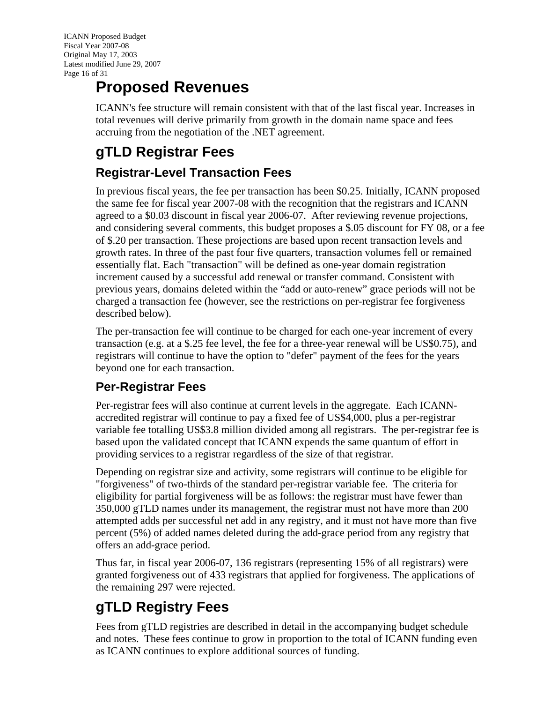<span id="page-15-0"></span>ICANN Proposed Budget Fiscal Year 2007-08 Original May 17, 2003 Latest modified June 29, 2007 Page 16 of 31

# **Proposed Revenues**

ICANN's fee structure will remain consistent with that of the last fiscal year. Increases in total revenues will derive primarily from growth in the domain name space and fees accruing from the negotiation of the .NET agreement.

# **gTLD Registrar Fees**

### **Registrar-Level Transaction Fees**

In previous fiscal years, the fee per transaction has been \$0.25. Initially, ICANN proposed the same fee for fiscal year 2007-08 with the recognition that the registrars and ICANN agreed to a \$0.03 discount in fiscal year 2006-07. After reviewing revenue projections, and considering several comments, this budget proposes a \$.05 discount for FY 08, or a fee of \$.20 per transaction. These projections are based upon recent transaction levels and growth rates. In three of the past four five quarters, transaction volumes fell or remained essentially flat. Each "transaction" will be defined as one-year domain registration increment caused by a successful add renewal or transfer command. Consistent with previous years, domains deleted within the "add or auto-renew" grace periods will not be charged a transaction fee (however, see the restrictions on per-registrar fee forgiveness described below).

The per-transaction fee will continue to be charged for each one-year increment of every transaction (e.g. at a \$.25 fee level, the fee for a three-year renewal will be US\$0.75), and registrars will continue to have the option to "defer" payment of the fees for the years beyond one for each transaction.

### **Per-Registrar Fees**

Per-registrar fees will also continue at current levels in the aggregate. Each ICANNaccredited registrar will continue to pay a fixed fee of US\$4,000, plus a per-registrar variable fee totalling US\$3.8 million divided among all registrars. The per-registrar fee is based upon the validated concept that ICANN expends the same quantum of effort in providing services to a registrar regardless of the size of that registrar.

Depending on registrar size and activity, some registrars will continue to be eligible for "forgiveness" of two-thirds of the standard per-registrar variable fee. The criteria for eligibility for partial forgiveness will be as follows: the registrar must have fewer than 350,000 gTLD names under its management, the registrar must not have more than 200 attempted adds per successful net add in any registry, and it must not have more than five percent (5%) of added names deleted during the add-grace period from any registry that offers an add-grace period.

Thus far, in fiscal year 2006-07, 136 registrars (representing 15% of all registrars) were granted forgiveness out of 433 registrars that applied for forgiveness. The applications of the remaining 297 were rejected.

# **gTLD Registry Fees**

Fees from gTLD registries are described in detail in the accompanying budget schedule and notes. These fees continue to grow in proportion to the total of ICANN funding even as ICANN continues to explore additional sources of funding.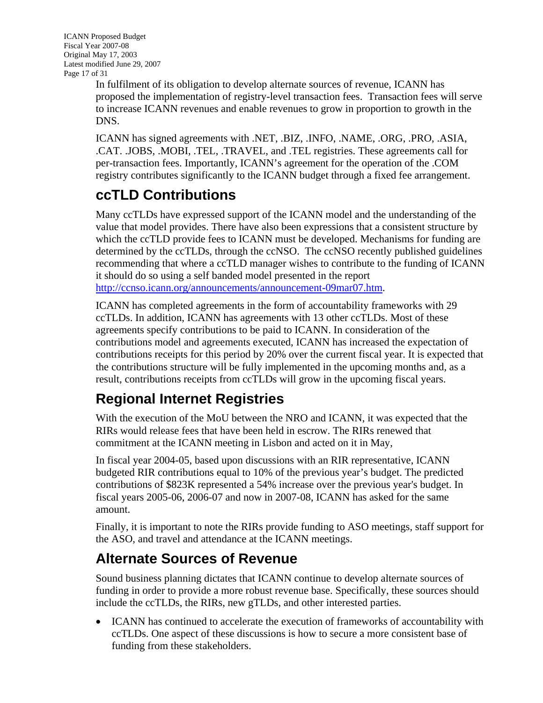<span id="page-16-0"></span>ICANN Proposed Budget Fiscal Year 2007-08 Original May 17, 2003 Latest modified June 29, 2007 Page 17 of 31

In fulfilment of its obligation to develop alternate sources of revenue, ICANN has proposed the implementation of registry-level transaction fees. Transaction fees will serve to increase ICANN revenues and enable revenues to grow in proportion to growth in the DNS.

ICANN has signed agreements with .NET, .BIZ, .INFO, .NAME, .ORG, .PRO, .ASIA, .CAT. .JOBS, .MOBI, .TEL, .TRAVEL, and .TEL registries. These agreements call for per-transaction fees. Importantly, ICANN's agreement for the operation of the .COM registry contributes significantly to the ICANN budget through a fixed fee arrangement.

# **ccTLD Contributions**

Many ccTLDs have expressed support of the ICANN model and the understanding of the value that model provides. There have also been expressions that a consistent structure by which the ccTLD provide fees to ICANN must be developed. Mechanisms for funding are determined by the ccTLDs, through the ccNSO. The ccNSO recently published guidelines recommending that where a ccTLD manager wishes to contribute to the funding of ICANN it should do so using a self banded model presented in the report [http://ccnso.icann.org/announcements/announcement-09mar07.htm.](http://ccnso.icann.org/announcements/announcement-09mar07.htm)

ICANN has completed agreements in the form of accountability frameworks with 29 ccTLDs. In addition, ICANN has agreements with 13 other ccTLDs. Most of these agreements specify contributions to be paid to ICANN. In consideration of the contributions model and agreements executed, ICANN has increased the expectation of contributions receipts for this period by 20% over the current fiscal year. It is expected that the contributions structure will be fully implemented in the upcoming months and, as a result, contributions receipts from ccTLDs will grow in the upcoming fiscal years.

# **Regional Internet Registries**

With the execution of the MoU between the NRO and ICANN, it was expected that the RIRs would release fees that have been held in escrow. The RIRs renewed that commitment at the ICANN meeting in Lisbon and acted on it in May,

In fiscal year 2004-05, based upon discussions with an RIR representative, ICANN budgeted RIR contributions equal to 10% of the previous year's budget. The predicted contributions of \$823K represented a 54% increase over the previous year's budget. In fiscal years 2005-06, 2006-07 and now in 2007-08, ICANN has asked for the same amount.

Finally, it is important to note the RIRs provide funding to ASO meetings, staff support for the ASO, and travel and attendance at the ICANN meetings.

# **Alternate Sources of Revenue**

Sound business planning dictates that ICANN continue to develop alternate sources of funding in order to provide a more robust revenue base. Specifically, these sources should include the ccTLDs, the RIRs, new gTLDs, and other interested parties.

• ICANN has continued to accelerate the execution of frameworks of accountability with ccTLDs. One aspect of these discussions is how to secure a more consistent base of funding from these stakeholders.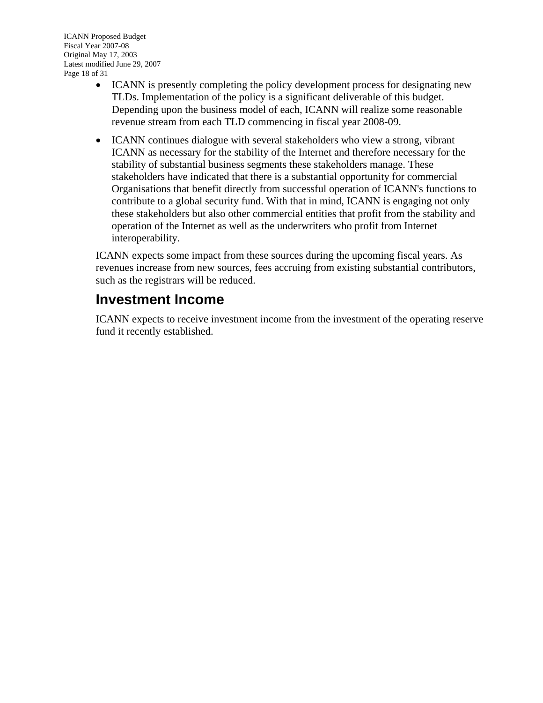- <span id="page-17-0"></span>• ICANN is presently completing the policy development process for designating new TLDs. Implementation of the policy is a significant deliverable of this budget. Depending upon the business model of each, ICANN will realize some reasonable revenue stream from each TLD commencing in fiscal year 2008-09.
- ICANN continues dialogue with several stakeholders who view a strong, vibrant ICANN as necessary for the stability of the Internet and therefore necessary for the stability of substantial business segments these stakeholders manage. These stakeholders have indicated that there is a substantial opportunity for commercial Organisations that benefit directly from successful operation of ICANN's functions to contribute to a global security fund. With that in mind, ICANN is engaging not only these stakeholders but also other commercial entities that profit from the stability and operation of the Internet as well as the underwriters who profit from Internet interoperability.

ICANN expects some impact from these sources during the upcoming fiscal years. As revenues increase from new sources, fees accruing from existing substantial contributors, such as the registrars will be reduced.

### **Investment Income**

ICANN expects to receive investment income from the investment of the operating reserve fund it recently established.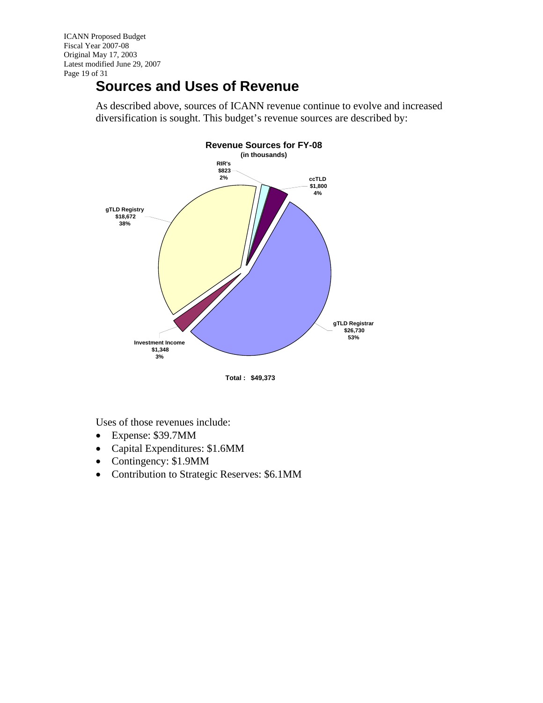<span id="page-18-0"></span>ICANN Proposed Budget Fiscal Year 2007-08 Original May 17, 2003 Latest modified June 29, 2007 Page 19 of 31

# **Sources and Uses of Revenue**

As described above, sources of ICANN revenue continue to evolve and increased diversification is sought. This budget's revenue sources are described by:



**Total : \$49,373** 

Uses of those revenues include:

- Expense: \$39.7MM
- Capital Expenditures: \$1.6MM
- Contingency: \$1.9MM
- Contribution to Strategic Reserves: \$6.1MM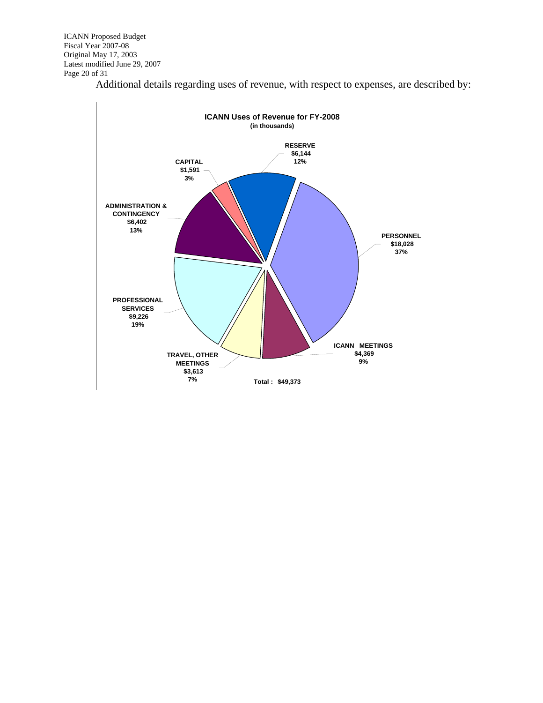ICANN Proposed Budget Fiscal Year 2007-08 Original May 17, 2003 Latest modified June 29, 2007 Page 20 of 31

Additional details regarding uses of revenue, with respect to expenses, are described by:

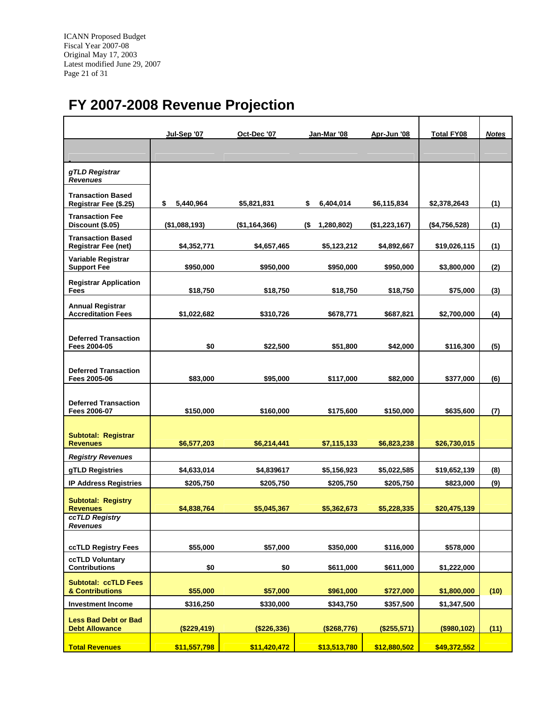<span id="page-20-0"></span>ICANN Proposed Budget Fiscal Year 2007-08 Original May 17, 2003 Latest modified June 29, 2007 Page 21 of 31

# **FY 2007-2008 Revenue Projection**

|                                                        | Jul-Sep '07     | Oct-Dec '07   | Jan-Mar '08       | Apr-Jun '08   | <b>Total FY08</b> | <b>Notes</b> |
|--------------------------------------------------------|-----------------|---------------|-------------------|---------------|-------------------|--------------|
|                                                        |                 |               |                   |               |                   |              |
| gTLD Registrar<br><b>Revenues</b>                      |                 |               |                   |               |                   |              |
| <b>Transaction Based</b><br>Registrar Fee (\$.25)      | \$<br>5,440,964 | \$5,821,831   | \$<br>6,404,014   | \$6,115,834   | \$2,378,2643      | (1)          |
| <b>Transaction Fee</b><br>Discount (\$.05)             | (\$1,088,193)   | (\$1,164,366) | (\$<br>1,280,802) | (\$1,223,167) | (\$4,756,528)     | (1)          |
| <b>Transaction Based</b><br><b>Registrar Fee (net)</b> | \$4,352,771     | \$4,657,465   | \$5,123,212       | \$4,892,667   | \$19,026,115      | (1)          |
| Variable Registrar<br><b>Support Fee</b>               | \$950,000       | \$950,000     | \$950,000         | \$950,000     | \$3,800,000       | (2)          |
| <b>Registrar Application</b><br>Fees                   | \$18,750        | \$18,750      | \$18,750          | \$18,750      | \$75,000          | (3)          |
| <b>Annual Registrar</b><br><b>Accreditation Fees</b>   | \$1,022,682     | \$310,726     | \$678,771         | \$687,821     | \$2,700,000       | (4)          |
| <b>Deferred Transaction</b><br>Fees 2004-05            | \$0             | \$22.500      | \$51,800          | \$42,000      | \$116,300         | (5)          |
| <b>Deferred Transaction</b><br>Fees 2005-06            | \$83,000        | \$95,000      | \$117,000         | \$82,000      | \$377,000         | (6)          |
| <b>Deferred Transaction</b><br>Fees 2006-07            | \$150,000       | \$160,000     | \$175,600         | \$150,000     | \$635,600         | (7)          |
| <b>Subtotal: Registrar</b><br><b>Revenues</b>          | \$6,577,203     | \$6,214,441   | \$7,115,133       | \$6,823,238   | \$26,730,015      |              |
| <b>Registry Revenues</b>                               |                 |               |                   |               |                   |              |
| gTLD Registries                                        | \$4,633,014     | \$4,839617    | \$5,156,923       | \$5,022,585   | \$19,652,139      | (8)          |
| <b>IP Address Registries</b>                           | \$205,750       | \$205,750     | \$205,750         | \$205,750     | \$823,000         | (9)          |
| <b>Subtotal: Registry</b><br><b>Revenues</b>           | \$4,838,764     | \$5,045,367   | \$5,362,673       | \$5,228,335   | \$20,475,139      |              |
| ccTLD Registry<br><b>Revenues</b>                      |                 |               |                   |               |                   |              |
| ccTLD Registry Fees                                    | \$55,000        | \$57,000      | \$350,000         | \$116,000     | \$578,000         |              |
| ccTLD Voluntary<br><b>Contributions</b>                | \$0             | \$0           | \$611,000         | \$611,000     | \$1,222,000       |              |
| <b>Subtotal: ccTLD Fees</b><br>& Contributions         | \$55,000        | \$57,000      | \$961,000         | \$727,000     | \$1,800,000       | (10)         |
| <b>Investment Income</b>                               | \$316,250       | \$330,000     | \$343,750         | \$357,500     | \$1,347,500       |              |
| <b>Less Bad Debt or Bad</b><br><b>Debt Allowance</b>   | (\$229,419)     | (\$226,336)   | (\$268,776)       | (\$255,571)   | (\$980,102)       | (11)         |
| <b>Total Revenues</b>                                  | \$11,557,798    | \$11,420,472  | \$13,513,780      | \$12,880,502  | \$49,372,552      |              |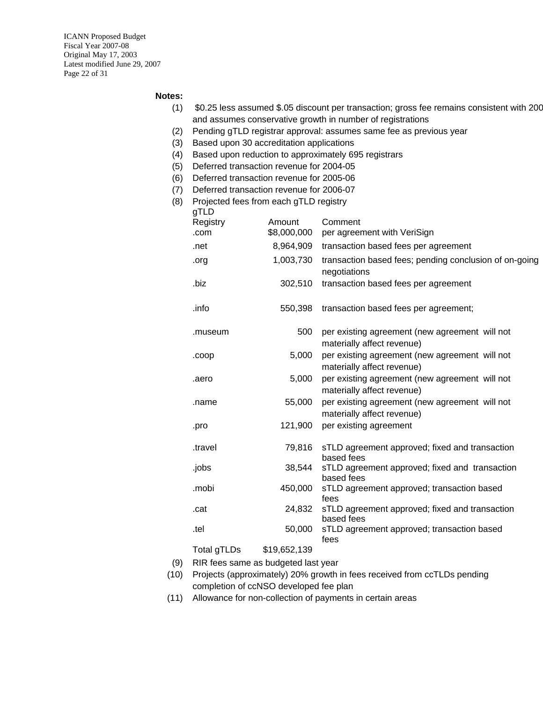ICANN Proposed Budget Fiscal Year 2007-08 Original May 17, 2003 Latest modified June 29, 2007 Page 22 of 31

#### **Notes:**

- (1) \$0.25 less assumed \$.05 discount per transaction; gross fee remains consistent with 200 and assumes conservative growth in number of registrations
- (2) Pending gTLD registrar approval: assumes same fee as previous year
- (3) Based upon 30 accreditation applications
- (4) Based upon reduction to approximately 695 registrars
- (5) Deferred transaction revenue for 2004-05
- (6) Deferred transaction revenue for 2005-06
- (7) Deferred transaction revenue for 2006-07
- (8) Projected fees from each gTLD registry

| gTLD               |              |                                                                              |
|--------------------|--------------|------------------------------------------------------------------------------|
| Registry           | Amount       | Comment                                                                      |
| .com               | \$8,000,000  | per agreement with VeriSign                                                  |
| .net               | 8,964,909    | transaction based fees per agreement                                         |
| .org               | 1,003,730    | transaction based fees; pending conclusion of on-going<br>negotiations       |
| .biz               | 302,510      | transaction based fees per agreement                                         |
| .info              | 550,398      | transaction based fees per agreement;                                        |
| .museum            | 500          | per existing agreement (new agreement will not<br>materially affect revenue) |
| .coop              | 5,000        | per existing agreement (new agreement will not<br>materially affect revenue) |
| .aero              | 5,000        | per existing agreement (new agreement will not<br>materially affect revenue) |
| .name              | 55,000       | per existing agreement (new agreement will not<br>materially affect revenue) |
| .pro               | 121,900      | per existing agreement                                                       |
| travel.            | 79,816       | sTLD agreement approved; fixed and transaction<br>based fees                 |
| .jobs              | 38,544       | sTLD agreement approved; fixed and transaction<br>based fees                 |
| .mobi              | 450,000      | sTLD agreement approved; transaction based<br>fees                           |
| .cat               | 24,832       | sTLD agreement approved; fixed and transaction<br>based fees                 |
| .tel               | 50,000       | sTLD agreement approved; transaction based<br>fees                           |
| <b>Total gTLDs</b> | \$19,652,139 |                                                                              |

- (9) RIR fees same as budgeted last year
- (10) Projects (approximately) 20% growth in fees received from ccTLDs pending completion of ccNSO developed fee plan
- (11) Allowance for non-collection of payments in certain areas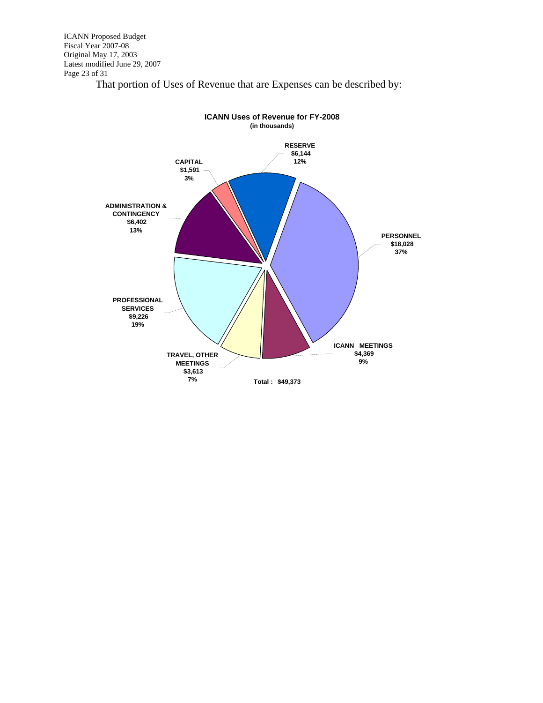ICANN Proposed Budget Fiscal Year 2007-08 Original May 17, 2003 Latest modified June 29, 2007 Page 23 of 31

That portion of Uses of Revenue that are Expenses can be described by:

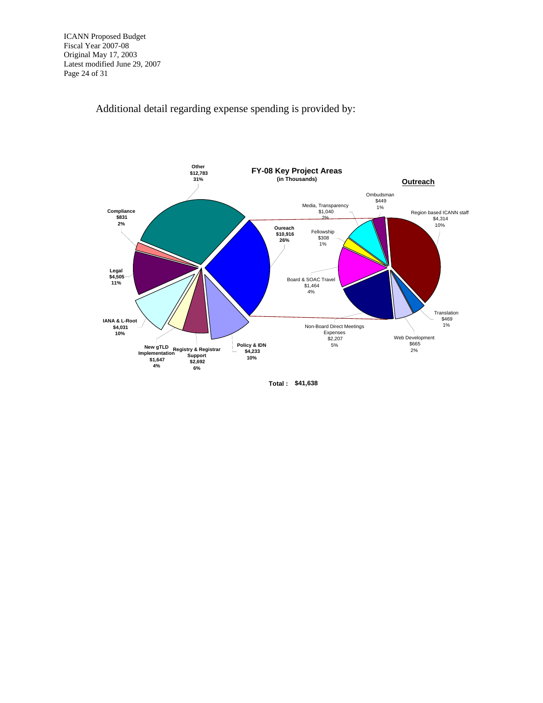ICANN Proposed Budget Fiscal Year 2007-08 Original May 17, 2003 Latest modified June 29, 2007 Page 24 of 31

Additional detail regarding expense spending is provided by:



**Total : \$41,638**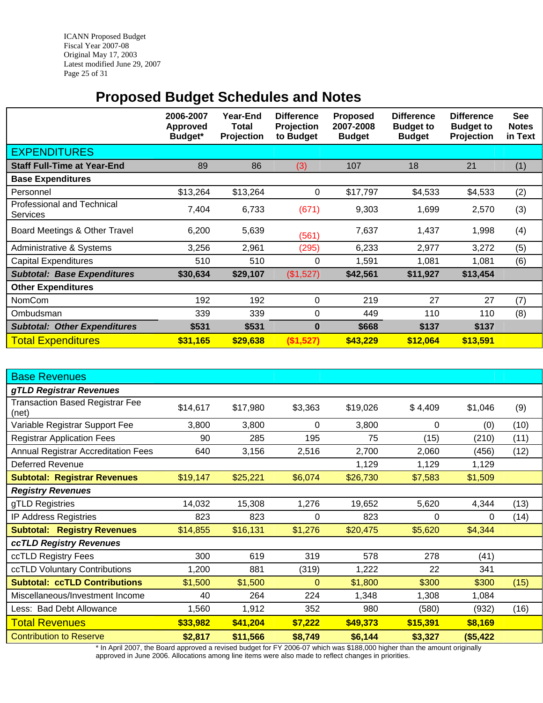<span id="page-24-0"></span>ICANN Proposed Budget Fiscal Year 2007-08 Original May 17, 2003 Latest modified June 29, 2007 Page 25 of 31

# **Proposed Budget Schedules and Notes**

|                                                      | 2006-2007<br><b>Approved</b><br>Budget* | Year-End<br>Total<br><b>Projection</b> | <b>Difference</b><br><b>Projection</b><br>to Budget | <b>Proposed</b><br>2007-2008<br><b>Budget</b> | <b>Difference</b><br><b>Budget to</b><br><b>Budget</b> | <b>Difference</b><br><b>Budget to</b><br>Projection | <b>See</b><br><b>Notes</b><br>in Text |
|------------------------------------------------------|-----------------------------------------|----------------------------------------|-----------------------------------------------------|-----------------------------------------------|--------------------------------------------------------|-----------------------------------------------------|---------------------------------------|
| <b>EXPENDITURES</b>                                  |                                         |                                        |                                                     |                                               |                                                        |                                                     |                                       |
| <b>Staff Full-Time at Year-End</b>                   | 89                                      | 86                                     | (3)                                                 | 107                                           | 18                                                     | 21                                                  | (1)                                   |
| <b>Base Expenditures</b>                             |                                         |                                        |                                                     |                                               |                                                        |                                                     |                                       |
| Personnel                                            | \$13,264                                | \$13,264                               | 0                                                   | \$17,797                                      | \$4,533                                                | \$4,533                                             | (2)                                   |
| <b>Professional and Technical</b><br><b>Services</b> | 7,404                                   | 6,733                                  | (671)                                               | 9,303                                         | 1,699                                                  | 2,570                                               | (3)                                   |
| Board Meetings & Other Travel                        | 6,200                                   | 5,639                                  | (561)                                               | 7,637                                         | 1,437                                                  | 1,998                                               | (4)                                   |
| Administrative & Systems                             | 3,256                                   | 2,961                                  | (295)                                               | 6,233                                         | 2,977                                                  | 3,272                                               | (5)                                   |
| <b>Capital Expenditures</b>                          | 510                                     | 510                                    | 0                                                   | 1,591                                         | 1,081                                                  | 1,081                                               | (6)                                   |
| <b>Subtotal: Base Expenditures</b>                   | \$30,634                                | \$29,107                               | (\$1,527)                                           | \$42,561                                      | \$11,927                                               | \$13,454                                            |                                       |
| <b>Other Expenditures</b>                            |                                         |                                        |                                                     |                                               |                                                        |                                                     |                                       |
| <b>NomCom</b>                                        | 192                                     | 192                                    | 0                                                   | 219                                           | 27                                                     | 27                                                  | (7)                                   |
| Ombudsman                                            | 339                                     | 339                                    | 0                                                   | 449                                           | 110                                                    | 110                                                 | (8)                                   |
| <b>Subtotal: Other Expenditures</b>                  | \$531                                   | \$531                                  | $\bf{0}$                                            | \$668                                         | \$137                                                  | \$137                                               |                                       |
| <b>Total Expenditures</b>                            | \$31,165                                | \$29,638                               | (\$1,527)                                           | \$43,229                                      | \$12,064                                               | \$13,591                                            |                                       |

| <b>Base Revenues</b>                            |          |          |         |          |          |          |      |
|-------------------------------------------------|----------|----------|---------|----------|----------|----------|------|
| gTLD Registrar Revenues                         |          |          |         |          |          |          |      |
| <b>Transaction Based Registrar Fee</b><br>(net) | \$14,617 | \$17,980 | \$3,363 | \$19,026 | \$4,409  | \$1,046  | (9)  |
| Variable Registrar Support Fee                  | 3,800    | 3,800    | 0       | 3,800    | 0        | (0)      | (10) |
| <b>Registrar Application Fees</b>               | 90       | 285      | 195     | 75       | (15)     | (210)    | (11) |
| <b>Annual Registrar Accreditation Fees</b>      | 640      | 3,156    | 2,516   | 2,700    | 2,060    | (456)    | (12) |
| <b>Deferred Revenue</b>                         |          |          |         | 1,129    | 1,129    | 1,129    |      |
| <b>Subtotal: Registrar Revenues</b>             | \$19,147 | \$25,221 | \$6,074 | \$26,730 | \$7,583  | \$1,509  |      |
| <b>Registry Revenues</b>                        |          |          |         |          |          |          |      |
| gTLD Registries                                 | 14,032   | 15,308   | 1,276   | 19,652   | 5,620    | 4,344    | (13) |
| <b>IP Address Registries</b>                    | 823      | 823      | 0       | 823      | 0        | 0        | (14) |
| <b>Subtotal: Registry Revenues</b>              | \$14,855 | \$16,131 | \$1,276 | \$20,475 | \$5,620  | \$4,344  |      |
| ccTLD Registry Revenues                         |          |          |         |          |          |          |      |
| ccTLD Registry Fees                             | 300      | 619      | 319     | 578      | 278      | (41)     |      |
| ccTLD Voluntary Contributions                   | 1,200    | 881      | (319)   | 1,222    | 22       | 341      |      |
| <b>Subtotal: ccTLD Contributions</b>            | \$1,500  | \$1,500  | 0       | \$1,800  | \$300    | \$300    | (15) |
| Miscellaneous/Investment Income                 | 40       | 264      | 224     | 1,348    | 1,308    | 1,084    |      |
| Less: Bad Debt Allowance                        | 1,560    | 1,912    | 352     | 980      | (580)    | (932)    | (16) |
| <b>Total Revenues</b>                           | \$33,982 | \$41,204 | \$7,222 | \$49,373 | \$15,391 | \$8,169  |      |
| <b>Contribution to Reserve</b>                  | \$2,817  | \$11,566 | \$8,749 | \$6,144  | \$3,327  | (\$5,422 |      |

\* In April 2007, the Board approved a revised budget for FY 2006-07 which was \$188,000 higher than the amount originally approved in June 2006. Allocations among line items were also made to reflect changes in priorities.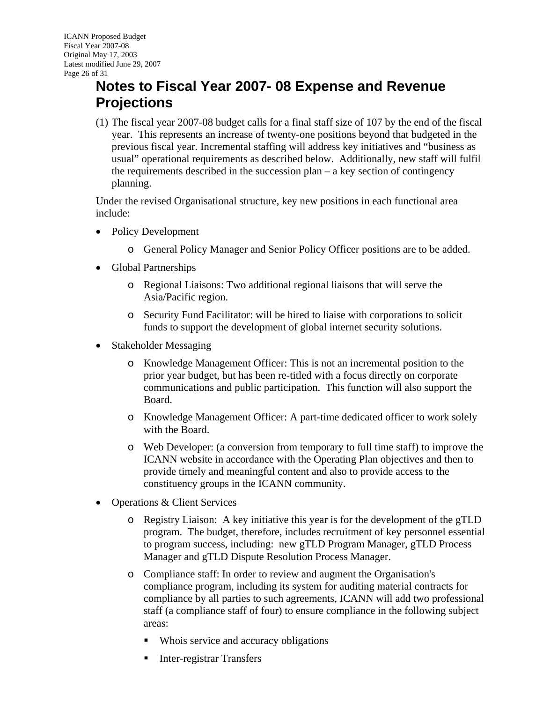# <span id="page-25-0"></span>**Notes to Fiscal Year 2007- 08 Expense and Revenue Projections**

(1) The fiscal year 2007-08 budget calls for a final staff size of 107 by the end of the fiscal year. This represents an increase of twenty-one positions beyond that budgeted in the previous fiscal year. Incremental staffing will address key initiatives and "business as usual" operational requirements as described below. Additionally, new staff will fulfil the requirements described in the succession plan – a key section of contingency planning.

Under the revised Organisational structure, key new positions in each functional area include:

- Policy Development
	- o General Policy Manager and Senior Policy Officer positions are to be added.
- Global Partnerships
	- o Regional Liaisons: Two additional regional liaisons that will serve the Asia/Pacific region.
	- o Security Fund Facilitator: will be hired to liaise with corporations to solicit funds to support the development of global internet security solutions.
- Stakeholder Messaging
	- o Knowledge Management Officer: This is not an incremental position to the prior year budget, but has been re-titled with a focus directly on corporate communications and public participation. This function will also support the Board.
	- o Knowledge Management Officer: A part-time dedicated officer to work solely with the Board.
	- o Web Developer: (a conversion from temporary to full time staff) to improve the ICANN website in accordance with the Operating Plan objectives and then to provide timely and meaningful content and also to provide access to the constituency groups in the ICANN community.
- Operations & Client Services
	- o Registry Liaison: A key initiative this year is for the development of the gTLD program. The budget, therefore, includes recruitment of key personnel essential to program success, including: new gTLD Program Manager, gTLD Process Manager and gTLD Dispute Resolution Process Manager.
	- o Compliance staff: In order to review and augment the Organisation's compliance program, including its system for auditing material contracts for compliance by all parties to such agreements, ICANN will add two professional staff (a compliance staff of four) to ensure compliance in the following subject areas:
		- Whois service and accuracy obligations
		- **Inter-registrar Transfers**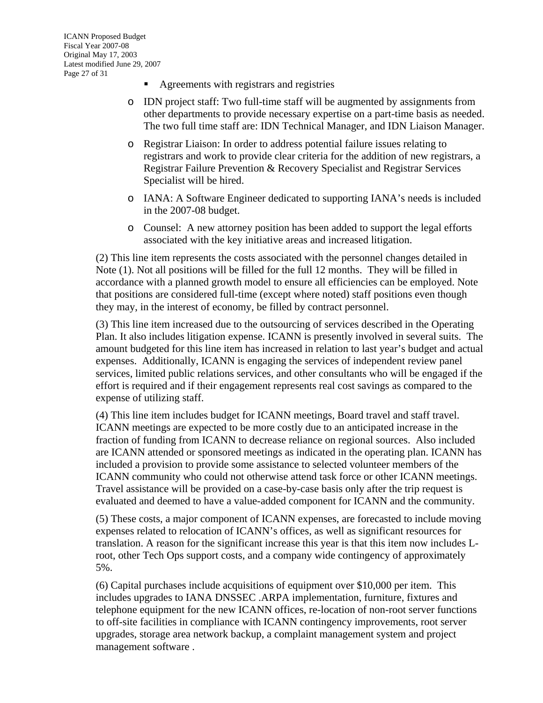- Agreements with registrars and registries
- o IDN project staff: Two full-time staff will be augmented by assignments from other departments to provide necessary expertise on a part-time basis as needed. The two full time staff are: IDN Technical Manager, and IDN Liaison Manager.
- o Registrar Liaison: In order to address potential failure issues relating to registrars and work to provide clear criteria for the addition of new registrars, a Registrar Failure Prevention & Recovery Specialist and Registrar Services Specialist will be hired.
- o IANA: A Software Engineer dedicated to supporting IANA's needs is included in the 2007-08 budget.
- o Counsel: A new attorney position has been added to support the legal efforts associated with the key initiative areas and increased litigation.

(2) This line item represents the costs associated with the personnel changes detailed in Note (1). Not all positions will be filled for the full 12 months. They will be filled in accordance with a planned growth model to ensure all efficiencies can be employed. Note that positions are considered full-time (except where noted) staff positions even though they may, in the interest of economy, be filled by contract personnel.

(3) This line item increased due to the outsourcing of services described in the Operating Plan. It also includes litigation expense. ICANN is presently involved in several suits. The amount budgeted for this line item has increased in relation to last year's budget and actual expenses. Additionally, ICANN is engaging the services of independent review panel services, limited public relations services, and other consultants who will be engaged if the effort is required and if their engagement represents real cost savings as compared to the expense of utilizing staff.

(4) This line item includes budget for ICANN meetings, Board travel and staff travel. ICANN meetings are expected to be more costly due to an anticipated increase in the fraction of funding from ICANN to decrease reliance on regional sources. Also included are ICANN attended or sponsored meetings as indicated in the operating plan. ICANN has included a provision to provide some assistance to selected volunteer members of the ICANN community who could not otherwise attend task force or other ICANN meetings. Travel assistance will be provided on a case-by-case basis only after the trip request is evaluated and deemed to have a value-added component for ICANN and the community.

(5) These costs, a major component of ICANN expenses, are forecasted to include moving expenses related to relocation of ICANN's offices, as well as significant resources for translation. A reason for the significant increase this year is that this item now includes Lroot, other Tech Ops support costs, and a company wide contingency of approximately 5%.

(6) Capital purchases include acquisitions of equipment over \$10,000 per item. This includes upgrades to IANA DNSSEC .ARPA implementation, furniture, fixtures and telephone equipment for the new ICANN offices, re-location of non-root server functions to off-site facilities in compliance with ICANN contingency improvements, root server upgrades, storage area network backup, a complaint management system and project management software .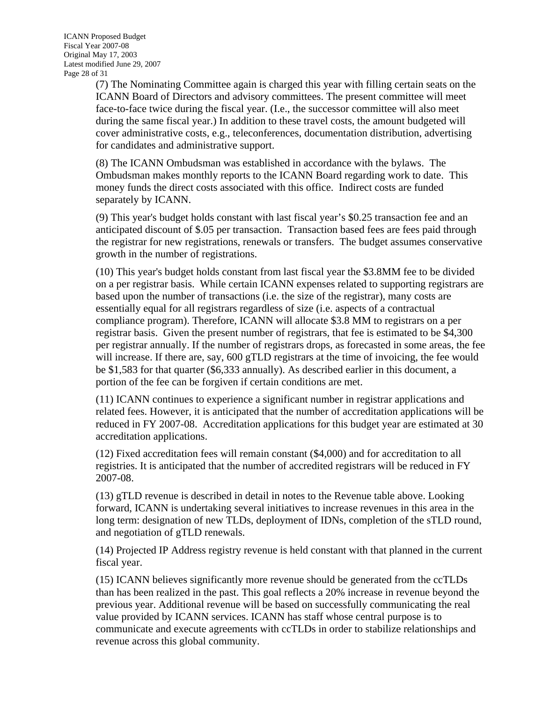ICANN Proposed Budget Fiscal Year 2007-08 Original May 17, 2003 Latest modified June 29, 2007 Page 28 of 31

> (7) The Nominating Committee again is charged this year with filling certain seats on the ICANN Board of Directors and advisory committees. The present committee will meet face-to-face twice during the fiscal year. (I.e., the successor committee will also meet during the same fiscal year.) In addition to these travel costs, the amount budgeted will cover administrative costs, e.g., teleconferences, documentation distribution, advertising for candidates and administrative support.

(8) The ICANN Ombudsman was established in accordance with the bylaws. The Ombudsman makes monthly reports to the ICANN Board regarding work to date. This money funds the direct costs associated with this office. Indirect costs are funded separately by ICANN.

(9) This year's budget holds constant with last fiscal year's \$0.25 transaction fee and an anticipated discount of \$.05 per transaction. Transaction based fees are fees paid through the registrar for new registrations, renewals or transfers. The budget assumes conservative growth in the number of registrations.

(10) This year's budget holds constant from last fiscal year the \$3.8MM fee to be divided on a per registrar basis. While certain ICANN expenses related to supporting registrars are based upon the number of transactions (i.e. the size of the registrar), many costs are essentially equal for all registrars regardless of size (i.e. aspects of a contractual compliance program). Therefore, ICANN will allocate \$3.8 MM to registrars on a per registrar basis. Given the present number of registrars, that fee is estimated to be \$4,300 per registrar annually. If the number of registrars drops, as forecasted in some areas, the fee will increase. If there are, say, 600 gTLD registrars at the time of invoicing, the fee would be \$1,583 for that quarter (\$6,333 annually). As described earlier in this document, a portion of the fee can be forgiven if certain conditions are met.

(11) ICANN continues to experience a significant number in registrar applications and related fees. However, it is anticipated that the number of accreditation applications will be reduced in FY 2007-08. Accreditation applications for this budget year are estimated at 30 accreditation applications.

(12) Fixed accreditation fees will remain constant (\$4,000) and for accreditation to all registries. It is anticipated that the number of accredited registrars will be reduced in FY 2007-08.

(13) gTLD revenue is described in detail in notes to the Revenue table above. Looking forward, ICANN is undertaking several initiatives to increase revenues in this area in the long term: designation of new TLDs, deployment of IDNs, completion of the sTLD round, and negotiation of gTLD renewals.

(14) Projected IP Address registry revenue is held constant with that planned in the current fiscal year.

(15) ICANN believes significantly more revenue should be generated from the ccTLDs than has been realized in the past. This goal reflects a 20% increase in revenue beyond the previous year. Additional revenue will be based on successfully communicating the real value provided by ICANN services. ICANN has staff whose central purpose is to communicate and execute agreements with ccTLDs in order to stabilize relationships and revenue across this global community.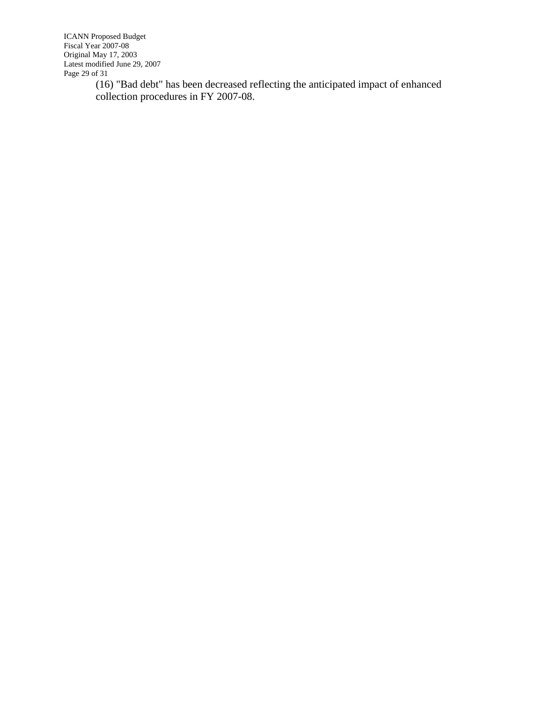ICANN Proposed Budget Fiscal Year 2007-08 Original May 17, 2003 Latest modified June 29, 2007 Page 29 of 31

(16) "Bad debt" has been decreased reflecting the anticipated impact of enhanced collection procedures in FY 2007-08.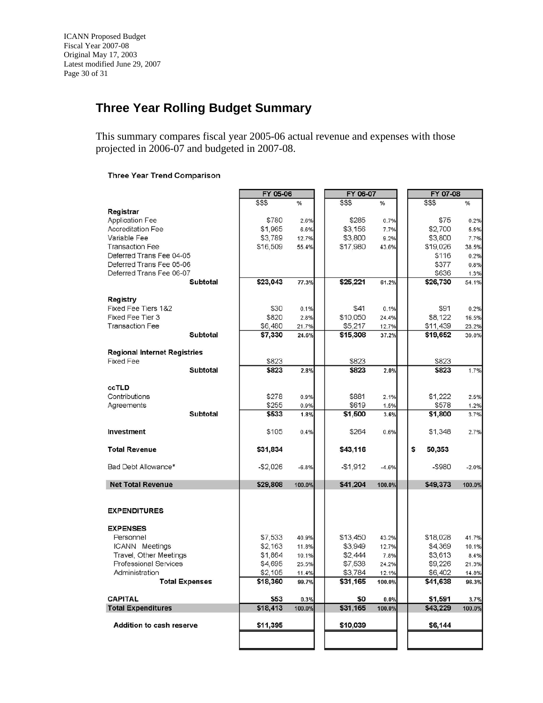### <span id="page-29-0"></span>**Three Year Rolling Budget Summary**

This summary compares fiscal year 2005-06 actual revenue and expenses with those projected in 2006-07 and budgeted in 2007-08.

#### **Three Year Trend Comparison**

|                                     |                       | FY 05-06  |         | FY 06-07  |         | FY 07-08     |         |
|-------------------------------------|-----------------------|-----------|---------|-----------|---------|--------------|---------|
|                                     |                       | \$\$\$    | %       | \$\$\$    | %       | \$\$\$       | %       |
| Registrar                           |                       |           |         |           |         |              |         |
| <b>Application Fee</b>              |                       | \$780     | 2.6%    | \$285     | 0.7%    | \$75         | 0.2%    |
| <b>Accreditation Fee</b>            |                       | \$1,965   | 6.6%    | \$3,156   | 7.7%    | \$2,700      | 5.5%    |
| Variable Fee                        |                       | \$3,789   | 12.7%   | \$3,800   | 9.2%    | \$3,800      | 7.7%    |
| <b>Transaction Fee</b>              |                       | \$16,509  | 55.4%   | \$17,980  | 43.6%   | \$19,026     | 38.5%   |
| Deferred Trans Fee 04-05            |                       |           |         |           |         | \$116        | 0.2%    |
| Deferred Trans Fee 05-06            |                       |           |         |           |         | \$377        | 0.8%    |
| Deferred Trans Fee 06-07            |                       |           |         |           |         | \$636        | 1.3%    |
|                                     | Subtotal              | \$23,043  | 77.3%   | \$25,221  | 61.2%   | \$26,730     | 54.1%   |
|                                     |                       |           |         |           |         |              |         |
| Registry                            |                       |           |         |           |         |              |         |
| Fixed Fee Tiers 1&2                 |                       | \$30      | 0.1%    | \$41      | 0.1%    | \$91         | 0.2%    |
| Fixed Fee Tier 3                    |                       | \$820     | 2.8%    | \$10,050  | 24.4%   | \$8,122      | 16.5%   |
| <b>Transaction Fee</b>              |                       | \$6,480   | 21.7%   | \$5,217   | 12.7%   | \$11,439     | 23.2%   |
|                                     | <b>Subtotal</b>       | \$7,330   | 24.6%   | \$15,308  | 37.2%   | \$19,652     | 39.8%   |
| <b>Regional Internet Registries</b> |                       |           |         |           |         |              |         |
| <b>Fixed Fee</b>                    |                       | \$823     |         | \$823     |         | \$823        |         |
|                                     | <b>Subtotal</b>       | \$823     | 2.8%    | \$823     | 2.0%    | \$823        | 1.7%    |
|                                     |                       |           |         |           |         |              |         |
| <b>CCTLD</b>                        |                       |           |         |           |         |              |         |
| Contributions                       |                       | \$278     | 0.9%    | \$881     | 2.1%    | \$1,222      | 2.5%    |
| Agreements                          |                       | \$255     | 0.9%    | \$619     | 1.5%    | \$578        | 1.2%    |
|                                     | <b>Subtotal</b>       | \$533     | 1.8%    | \$1,500   | 3.6%    | \$1,800      | 3.7%    |
| Investment                          |                       | \$105     | 0.4%    | \$264     | 0.6%    | \$1,348      | 2.7%    |
|                                     |                       |           |         |           |         |              |         |
| <b>Total Revenue</b>                |                       | \$31,834  |         | \$43,116  |         | \$<br>50,353 |         |
|                                     |                       |           |         |           |         |              |         |
| Bad Debt Allowance*                 |                       | $-$2,026$ | $-6.8%$ | $-$1,912$ | $-4.6%$ | -\$980       | $-2.0%$ |
| <b>Net Total Revenue</b>            |                       | \$29,808  | 100.0%  | \$41,204  | 100.0%  | \$49,373     | 100.0%  |
|                                     |                       |           |         |           |         |              |         |
|                                     |                       |           |         |           |         |              |         |
| <b>EXPENDITURES</b>                 |                       |           |         |           |         |              |         |
|                                     |                       |           |         |           |         |              |         |
| <b>EXPENSES</b>                     |                       |           |         |           |         |              |         |
| Personnel                           |                       | \$7,533   | 40.9%   | \$13,450  | 43.2%   | \$18,028     | 41.7%   |
| <b>ICANN</b> Meetings               |                       | \$2,163   | 11.8%   | \$3,949   | 12.7%   | \$4,369      | 10.1%   |
| Travel, Other Meetings              |                       | \$1,864   | 10.1%   | \$2,444   | 7.8%    | \$3,613      | 8.4%    |
| <b>Professional Services</b>        |                       | \$4,695   | 25.5%   | \$7,538   | 24.2%   | \$9,226      | 21.3%   |
| Administration                      |                       | \$2,105   | 11.4%   | \$3,784   | 12.1%   | \$6,402      | 14.8%   |
|                                     | <b>Total Expenses</b> | \$18,360  | 99.7%   | \$31,165  | 100.0%  | \$41,638     | 96.3%   |
| <b>CAPITAL</b>                      |                       | \$53      | 0.3%    | \$0       | 0.0%    | \$1,591      | 3.7%    |
| <b>Total Expenditures</b>           |                       | \$18,413  | 100.0%  | \$31,165  | 100.0%  | \$43,229     | 100.0%  |
|                                     |                       |           |         |           |         |              |         |
| <b>Addition to cash reserve</b>     |                       | \$11,395  |         | \$10,039  |         | \$6,144      |         |
|                                     |                       |           |         |           |         |              |         |
|                                     |                       |           |         |           |         |              |         |